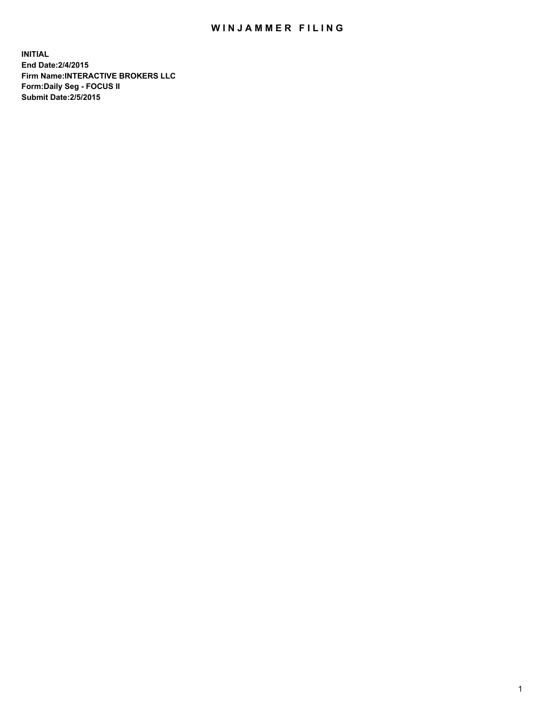## WIN JAMMER FILING

**INITIAL End Date:2/4/2015 Firm Name:INTERACTIVE BROKERS LLC Form:Daily Seg - FOCUS II Submit Date:2/5/2015**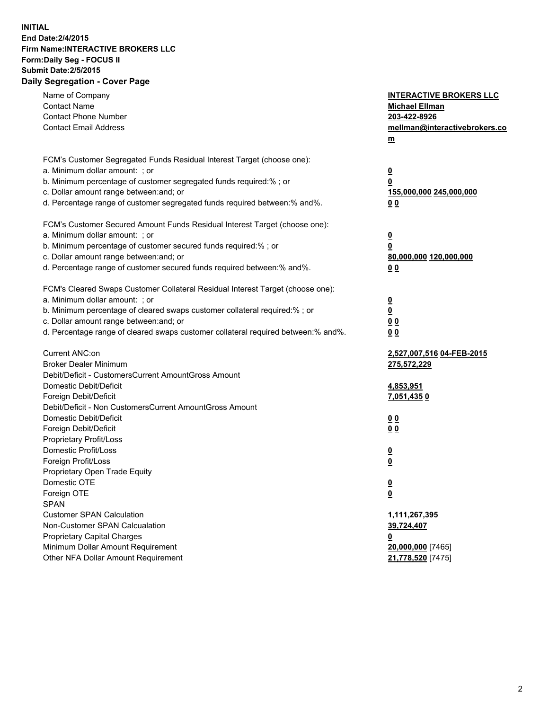## **INITIAL End Date:2/4/2015 Firm Name:INTERACTIVE BROKERS LLC Form:Daily Seg - FOCUS II Submit Date:2/5/2015 Daily Segregation - Cover Page**

| Name of Company<br><b>Contact Name</b>                                            | <b>INTERACTIVE BROKERS LLC</b><br><b>Michael Ellman</b> |
|-----------------------------------------------------------------------------------|---------------------------------------------------------|
| <b>Contact Phone Number</b>                                                       | 203-422-8926                                            |
| <b>Contact Email Address</b>                                                      | mellman@interactivebrokers.co                           |
|                                                                                   | $\underline{\mathbf{m}}$                                |
| FCM's Customer Segregated Funds Residual Interest Target (choose one):            |                                                         |
| a. Minimum dollar amount: ; or                                                    | $\overline{\mathbf{0}}$                                 |
| b. Minimum percentage of customer segregated funds required:% ; or                | 0                                                       |
| c. Dollar amount range between: and; or                                           | 155,000,000 245,000,000                                 |
| d. Percentage range of customer segregated funds required between:% and%.         | 00                                                      |
| FCM's Customer Secured Amount Funds Residual Interest Target (choose one):        |                                                         |
| a. Minimum dollar amount: ; or                                                    | $\overline{\mathbf{0}}$                                 |
| b. Minimum percentage of customer secured funds required:% ; or                   | 0                                                       |
| c. Dollar amount range between: and; or                                           | 80,000,000 120,000,000                                  |
| d. Percentage range of customer secured funds required between:% and%.            | 00                                                      |
| FCM's Cleared Swaps Customer Collateral Residual Interest Target (choose one):    |                                                         |
| a. Minimum dollar amount: ; or                                                    | $\overline{\mathbf{0}}$                                 |
| b. Minimum percentage of cleared swaps customer collateral required:% ; or        | $\underline{\mathbf{0}}$                                |
| c. Dollar amount range between: and; or                                           | 0 <sub>0</sub>                                          |
| d. Percentage range of cleared swaps customer collateral required between:% and%. | 0 <sub>0</sub>                                          |
|                                                                                   |                                                         |
| Current ANC:on                                                                    | 2,527,007,516 04-FEB-2015                               |
| <b>Broker Dealer Minimum</b>                                                      | 275,572,229                                             |
| Debit/Deficit - CustomersCurrent AmountGross Amount                               |                                                         |
| Domestic Debit/Deficit                                                            | 4,853,951                                               |
| Foreign Debit/Deficit                                                             | <u>7,051,4350</u>                                       |
| Debit/Deficit - Non CustomersCurrent AmountGross Amount                           |                                                         |
| Domestic Debit/Deficit                                                            | 0 <sub>0</sub>                                          |
| Foreign Debit/Deficit<br>Proprietary Profit/Loss                                  | 0 <sub>0</sub>                                          |
| Domestic Profit/Loss                                                              |                                                         |
| Foreign Profit/Loss                                                               | $\overline{\mathbf{0}}$                                 |
| Proprietary Open Trade Equity                                                     | $\underline{\mathbf{0}}$                                |
| Domestic OTE                                                                      |                                                         |
|                                                                                   | <u>0</u>                                                |
| Foreign OTE<br><b>SPAN</b>                                                        | <u>0</u>                                                |
| <b>Customer SPAN Calculation</b>                                                  | 1,111,267,395                                           |
| Non-Customer SPAN Calcualation                                                    | 39,724,407                                              |
| Proprietary Capital Charges                                                       |                                                         |
| Minimum Dollar Amount Requirement                                                 | <u>0</u><br>20,000,000 [7465]                           |
| Other NFA Dollar Amount Requirement                                               | 21,778,520 [7475]                                       |
|                                                                                   |                                                         |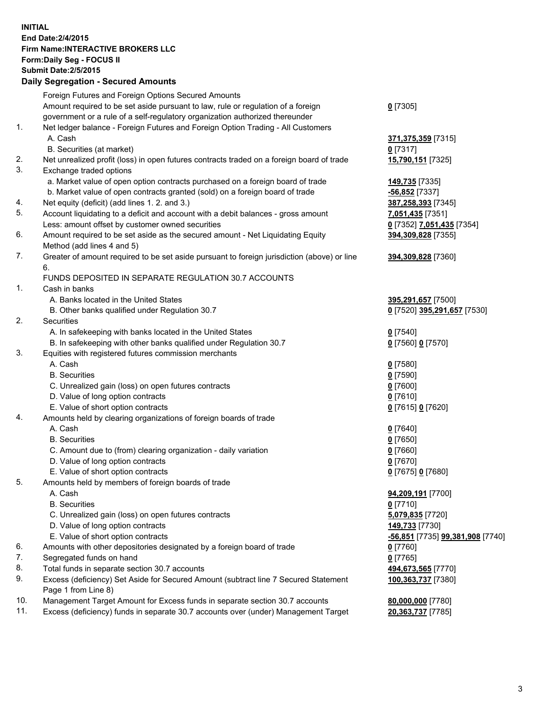## **INITIAL End Date:2/4/2015 Firm Name:INTERACTIVE BROKERS LLC Form:Daily Seg - FOCUS II Submit Date:2/5/2015 Daily Segregation - Secured Amounts**

|     | Daily Ocglegation - Occuled Amounts                                                         |                                  |
|-----|---------------------------------------------------------------------------------------------|----------------------------------|
|     | Foreign Futures and Foreign Options Secured Amounts                                         |                                  |
|     | Amount required to be set aside pursuant to law, rule or regulation of a foreign            | $0$ [7305]                       |
|     | government or a rule of a self-regulatory organization authorized thereunder                |                                  |
| 1.  | Net ledger balance - Foreign Futures and Foreign Option Trading - All Customers             |                                  |
|     | A. Cash                                                                                     | 371,375,359 [7315]               |
|     | B. Securities (at market)                                                                   | $0$ [7317]                       |
| 2.  | Net unrealized profit (loss) in open futures contracts traded on a foreign board of trade   | 15,790,151 [7325]                |
| 3.  | Exchange traded options                                                                     |                                  |
|     | a. Market value of open option contracts purchased on a foreign board of trade              | 149,735 [7335]                   |
|     | b. Market value of open contracts granted (sold) on a foreign board of trade                | $-56,852$ [7337]                 |
| 4.  | Net equity (deficit) (add lines 1.2. and 3.)                                                | 387,258,393 [7345]               |
| 5.  | Account liquidating to a deficit and account with a debit balances - gross amount           | 7,051,435 [7351]                 |
|     | Less: amount offset by customer owned securities                                            | 0 [7352] 7,051,435 [7354]        |
| 6.  | Amount required to be set aside as the secured amount - Net Liquidating Equity              | 394,309,828 [7355]               |
|     | Method (add lines 4 and 5)                                                                  |                                  |
| 7.  | Greater of amount required to be set aside pursuant to foreign jurisdiction (above) or line | 394,309,828 [7360]               |
|     | 6.                                                                                          |                                  |
|     | FUNDS DEPOSITED IN SEPARATE REGULATION 30.7 ACCOUNTS                                        |                                  |
| 1.  | Cash in banks                                                                               |                                  |
|     | A. Banks located in the United States                                                       | 395,291,657 [7500]               |
|     | B. Other banks qualified under Regulation 30.7                                              | 0 [7520] 395,291,657 [7530]      |
| 2.  | Securities                                                                                  |                                  |
|     | A. In safekeeping with banks located in the United States                                   | $0$ [7540]                       |
|     | B. In safekeeping with other banks qualified under Regulation 30.7                          | 0 [7560] 0 [7570]                |
| 3.  | Equities with registered futures commission merchants                                       |                                  |
|     | A. Cash                                                                                     | $0$ [7580]                       |
|     | <b>B.</b> Securities                                                                        | $0$ [7590]                       |
|     | C. Unrealized gain (loss) on open futures contracts                                         | $0$ [7600]                       |
|     | D. Value of long option contracts                                                           | $0$ [7610]                       |
|     | E. Value of short option contracts                                                          | 0 [7615] 0 [7620]                |
| 4.  | Amounts held by clearing organizations of foreign boards of trade                           |                                  |
|     | A. Cash                                                                                     | $0$ [7640]                       |
|     | <b>B.</b> Securities                                                                        | $0$ [7650]                       |
|     | C. Amount due to (from) clearing organization - daily variation                             | $0$ [7660]                       |
|     | D. Value of long option contracts                                                           | $0$ [7670]                       |
|     | E. Value of short option contracts                                                          | 0 [7675] 0 [7680]                |
| 5.  | Amounts held by members of foreign boards of trade                                          |                                  |
|     | A. Cash                                                                                     | 94,209,191 [7700]                |
|     | <b>B.</b> Securities                                                                        | $0$ [7710]                       |
|     | C. Unrealized gain (loss) on open futures contracts                                         | 5,079,835 [7720]                 |
|     | D. Value of long option contracts                                                           | 149,733 [7730]                   |
|     | E. Value of short option contracts                                                          | -56,851 [7735] 99,381,908 [7740] |
| 6.  | Amounts with other depositories designated by a foreign board of trade                      | 0 [7760]                         |
| 7.  | Segregated funds on hand                                                                    | $0$ [7765]                       |
| 8.  | Total funds in separate section 30.7 accounts                                               | 494,673,565 [7770]               |
| 9.  | Excess (deficiency) Set Aside for Secured Amount (subtract line 7 Secured Statement         | 100,363,737 [7380]               |
|     | Page 1 from Line 8)                                                                         |                                  |
| 10. | Management Target Amount for Excess funds in separate section 30.7 accounts                 | 80,000,000 [7780]                |
| 11. | Excess (deficiency) funds in separate 30.7 accounts over (under) Management Target          | 20,363,737 [7785]                |
|     |                                                                                             |                                  |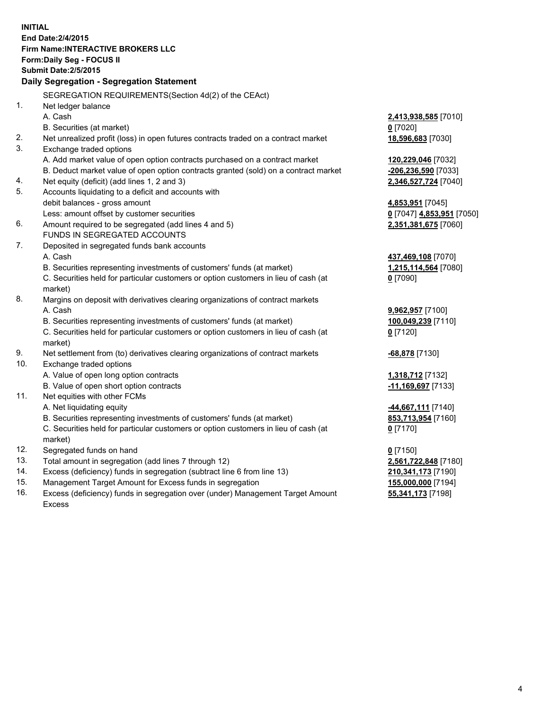**INITIAL End Date:2/4/2015 Firm Name:INTERACTIVE BROKERS LLC Form:Daily Seg - FOCUS II Submit Date:2/5/2015 Daily Segregation - Segregation Statement** SEGREGATION REQUIREMENTS(Section 4d(2) of the CEAct) 1. Net ledger balance A. Cash **2,413,938,585** [7010] B. Securities (at market) **0** [7020] 2. Net unrealized profit (loss) in open futures contracts traded on a contract market **18,596,683** [7030] 3. Exchange traded options A. Add market value of open option contracts purchased on a contract market **120,229,046** [7032] B. Deduct market value of open option contracts granted (sold) on a contract market **-206,236,590** [7033] 4. Net equity (deficit) (add lines 1, 2 and 3) **2,346,527,724** [7040] 5. Accounts liquidating to a deficit and accounts with debit balances - gross amount **4,853,951** [7045] Less: amount offset by customer securities **0** [7047] **4,853,951** [7050] 6. Amount required to be segregated (add lines 4 and 5) **2,351,381,675** [7060] FUNDS IN SEGREGATED ACCOUNTS 7. Deposited in segregated funds bank accounts A. Cash **437,469,108** [7070] B. Securities representing investments of customers' funds (at market) **1,215,114,564** [7080] C. Securities held for particular customers or option customers in lieu of cash (at market) **0** [7090] 8. Margins on deposit with derivatives clearing organizations of contract markets A. Cash **9,962,957** [7100] B. Securities representing investments of customers' funds (at market) **100,049,239** [7110] C. Securities held for particular customers or option customers in lieu of cash (at market) **0** [7120] 9. Net settlement from (to) derivatives clearing organizations of contract markets **-68,878** [7130] 10. Exchange traded options A. Value of open long option contracts **1,318,712** [7132] B. Value of open short option contracts **-11,169,697** [7133] 11. Net equities with other FCMs A. Net liquidating equity **-44,667,111** [7140] B. Securities representing investments of customers' funds (at market) **853,713,954** [7160] C. Securities held for particular customers or option customers in lieu of cash (at market) **0** [7170] 12. Segregated funds on hand **0** [7150] 13. Total amount in segregation (add lines 7 through 12) **2,561,722,848** [7180] 14. Excess (deficiency) funds in segregation (subtract line 6 from line 13) **210,341,173** [7190] 15. Management Target Amount for Excess funds in segregation **155,000,000** [7194]

16. Excess (deficiency) funds in segregation over (under) Management Target Amount Excess

**55,341,173** [7198]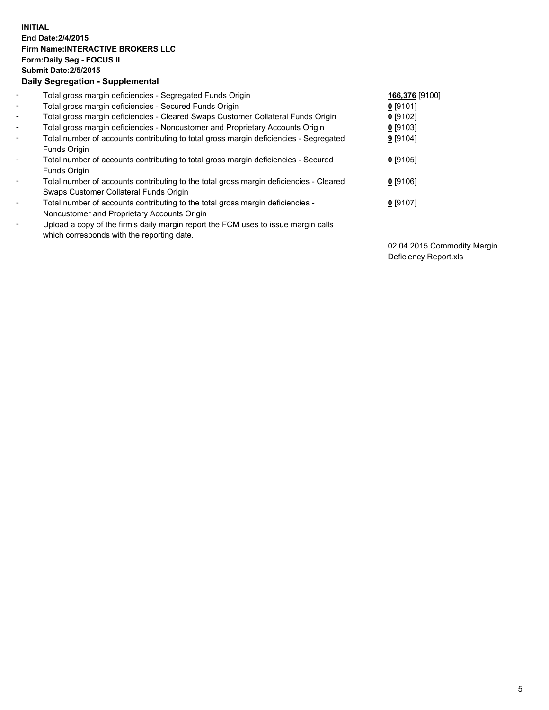## **INITIAL End Date:2/4/2015 Firm Name:INTERACTIVE BROKERS LLC Form:Daily Seg - FOCUS II Submit Date:2/5/2015 Daily Segregation - Supplemental**

| $\blacksquare$           | Total gross margin deficiencies - Segregated Funds Origin                              | 166,376 [9100] |
|--------------------------|----------------------------------------------------------------------------------------|----------------|
| $\blacksquare$           | Total gross margin deficiencies - Secured Funds Origin                                 | $0$ [9101]     |
| $\blacksquare$           | Total gross margin deficiencies - Cleared Swaps Customer Collateral Funds Origin       | $0$ [9102]     |
| $\blacksquare$           | Total gross margin deficiencies - Noncustomer and Proprietary Accounts Origin          | $0$ [9103]     |
| $\blacksquare$           | Total number of accounts contributing to total gross margin deficiencies - Segregated  | 9 [9104]       |
|                          | Funds Origin                                                                           |                |
| $\blacksquare$           | Total number of accounts contributing to total gross margin deficiencies - Secured     | $0$ [9105]     |
|                          | Funds Origin                                                                           |                |
| $\overline{\phantom{a}}$ | Total number of accounts contributing to the total gross margin deficiencies - Cleared | $0$ [9106]     |
|                          | Swaps Customer Collateral Funds Origin                                                 |                |
| -                        | Total number of accounts contributing to the total gross margin deficiencies -         | $0$ [9107]     |
|                          | Noncustomer and Proprietary Accounts Origin                                            |                |
| $\blacksquare$           | Upload a copy of the firm's daily margin report the FCM uses to issue margin calls     |                |
|                          | which corresponds with the reporting date.                                             |                |

02.04.2015 Commodity Margin Deficiency Report.xls